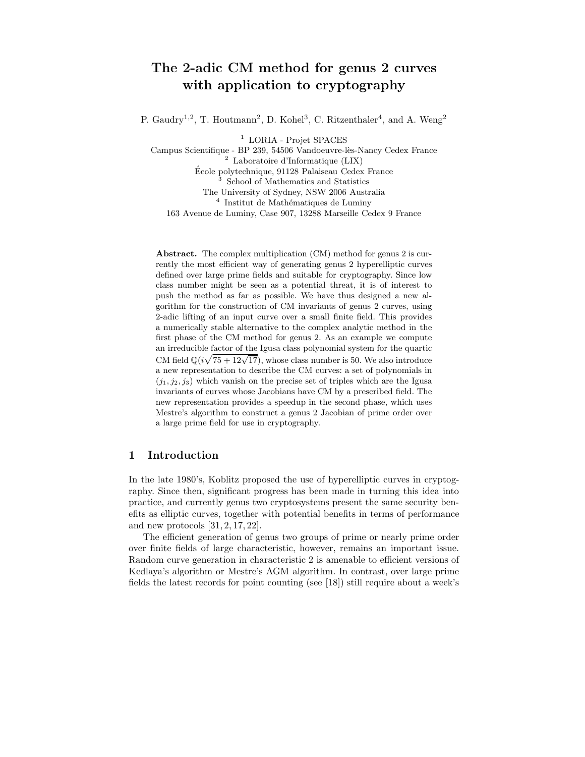# The 2-adic CM method for genus 2 curves with application to cryptography

P. Gaudry<sup>1,2</sup>, T. Houtmann<sup>2</sup>, D. Kohel<sup>3</sup>, C. Ritzenthaler<sup>4</sup>, and A. Weng<sup>2</sup>

<sup>1</sup> LORIA - Projet SPACES

Campus Scientifique - BP 239, 54506 Vandoeuvre-lès-Nancy Cedex France <sup>2</sup> Laboratoire d'Informatique (LIX) Ecole polytechnique, 91128 Palaiseau Cedex France ´ <sup>3</sup> School of Mathematics and Statistics The University of Sydney, NSW 2006 Australia <sup>4</sup> Institut de Mathématiques de Luminy 163 Avenue de Luminy, Case 907, 13288 Marseille Cedex 9 France

Abstract. The complex multiplication (CM) method for genus 2 is currently the most efficient way of generating genus 2 hyperelliptic curves defined over large prime fields and suitable for cryptography. Since low class number might be seen as a potential threat, it is of interest to push the method as far as possible. We have thus designed a new algorithm for the construction of CM invariants of genus 2 curves, using 2-adic lifting of an input curve over a small finite field. This provides a numerically stable alternative to the complex analytic method in the first phase of the CM method for genus 2. As an example we compute an irreducible factor of the Igusa class polynomial system for the quartic CM field  $\mathbb{Q}(i\sqrt{75+12\sqrt{17}})$ , whose class number is 50. We also introduce a new representation to describe the CM curves: a set of polynomials in  $(j_1, j_2, j_3)$  which vanish on the precise set of triples which are the Igusa invariants of curves whose Jacobians have CM by a prescribed field. The new representation provides a speedup in the second phase, which uses Mestre's algorithm to construct a genus 2 Jacobian of prime order over a large prime field for use in cryptography.

### 1 Introduction

In the late 1980's, Koblitz proposed the use of hyperelliptic curves in cryptography. Since then, significant progress has been made in turning this idea into practice, and currently genus two cryptosystems present the same security benefits as elliptic curves, together with potential benefits in terms of performance and new protocols [31, 2, 17, 22].

The efficient generation of genus two groups of prime or nearly prime order over finite fields of large characteristic, however, remains an important issue. Random curve generation in characteristic 2 is amenable to efficient versions of Kedlaya's algorithm or Mestre's AGM algorithm. In contrast, over large prime fields the latest records for point counting (see [18]) still require about a week's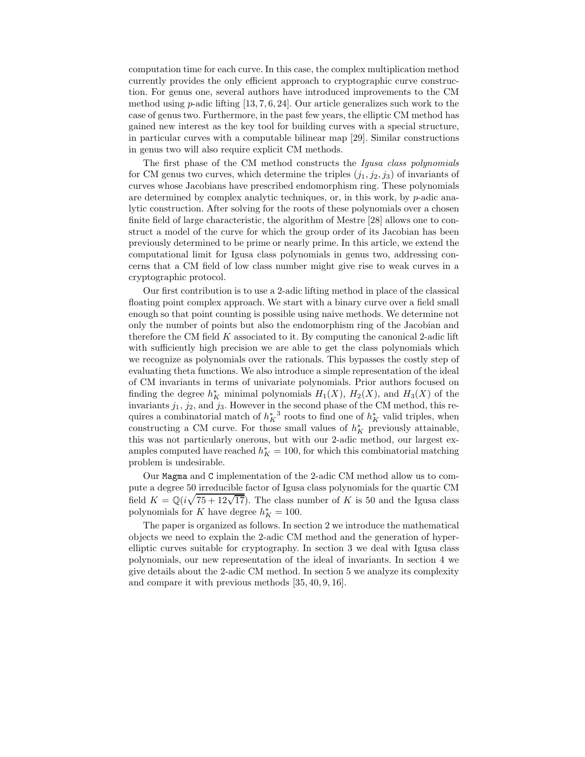computation time for each curve. In this case, the complex multiplication method currently provides the only efficient approach to cryptographic curve construction. For genus one, several authors have introduced improvements to the CM method using  $p$ -adic lifting  $[13, 7, 6, 24]$ . Our article generalizes such work to the case of genus two. Furthermore, in the past few years, the elliptic CM method has gained new interest as the key tool for building curves with a special structure, in particular curves with a computable bilinear map [29]. Similar constructions in genus two will also require explicit CM methods.

The first phase of the CM method constructs the Igusa class polynomials for CM genus two curves, which determine the triples  $(j_1, j_2, j_3)$  of invariants of curves whose Jacobians have prescribed endomorphism ring. These polynomials are determined by complex analytic techniques, or, in this work, by p-adic analytic construction. After solving for the roots of these polynomials over a chosen finite field of large characteristic, the algorithm of Mestre [28] allows one to construct a model of the curve for which the group order of its Jacobian has been previously determined to be prime or nearly prime. In this article, we extend the computational limit for Igusa class polynomials in genus two, addressing concerns that a CM field of low class number might give rise to weak curves in a cryptographic protocol.

Our first contribution is to use a 2-adic lifting method in place of the classical floating point complex approach. We start with a binary curve over a field small enough so that point counting is possible using naive methods. We determine not only the number of points but also the endomorphism ring of the Jacobian and therefore the CM field  $K$  associated to it. By computing the canonical 2-adic lift with sufficiently high precision we are able to get the class polynomials which we recognize as polynomials over the rationals. This bypasses the costly step of evaluating theta functions. We also introduce a simple representation of the ideal of CM invariants in terms of univariate polynomials. Prior authors focused on finding the degree  $h_K^*$  minimal polynomials  $H_1(X)$ ,  $H_2(X)$ , and  $H_3(X)$  of the invariants  $j_1$ ,  $j_2$ , and  $j_3$ . However in the second phase of the CM method, this requires a combinatorial match of  $h_K^*$ <sup>3</sup> roots to find one of  $h_K^*$  valid triples, when constructing a CM curve. For those small values of  $h_K^*$  previously attainable, this was not particularly onerous, but with our 2-adic method, our largest examples computed have reached  $h_K^* = 100$ , for which this combinatorial matching problem is undesirable.

Our Magma and C implementation of the 2-adic CM method allow us to compute a degree 50 irreducible factor of Igusa class polynomials for the quartic CM field  $K = \mathbb{Q}(i\sqrt{75 + 12\sqrt{17}})$ . The class number of K is 50 and the Igusa class polynomials for K have degree  $h_K^* = 100$ .

The paper is organized as follows. In section 2 we introduce the mathematical objects we need to explain the 2-adic CM method and the generation of hyperelliptic curves suitable for cryptography. In section 3 we deal with Igusa class polynomials, our new representation of the ideal of invariants. In section 4 we give details about the 2-adic CM method. In section 5 we analyze its complexity and compare it with previous methods [35, 40, 9, 16].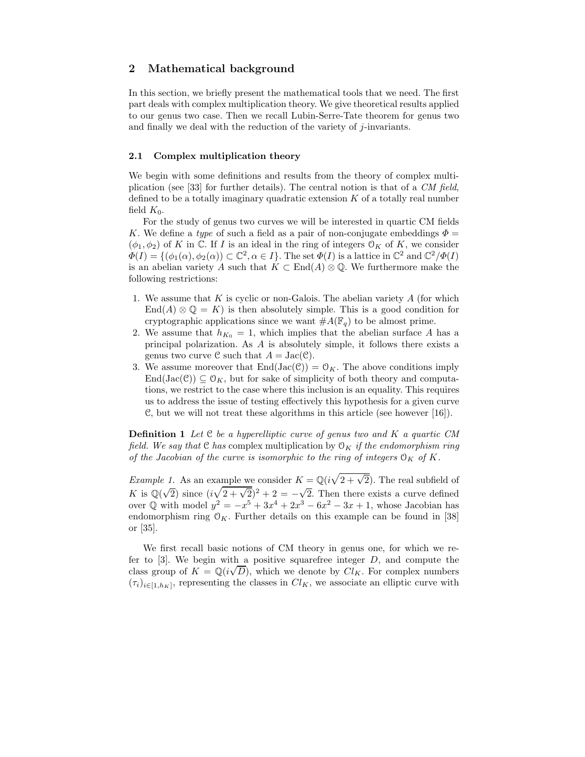### 2 Mathematical background

In this section, we briefly present the mathematical tools that we need. The first part deals with complex multiplication theory. We give theoretical results applied to our genus two case. Then we recall Lubin-Serre-Tate theorem for genus two and finally we deal with the reduction of the variety of  $j$ -invariants.

#### 2.1 Complex multiplication theory

We begin with some definitions and results from the theory of complex multiplication (see [33] for further details). The central notion is that of a CM field, defined to be a totally imaginary quadratic extension  $K$  of a totally real number field  $K_0$ .

For the study of genus two curves we will be interested in quartic CM fields K. We define a type of such a field as a pair of non-conjugate embeddings  $\Phi =$  $(\phi_1, \phi_2)$  of K in C. If I is an ideal in the ring of integers  $\mathcal{O}_K$  of K, we consider  $\Phi(I) = \{(\phi_1(\alpha), \phi_2(\alpha)) \subset \mathbb{C}^2, \alpha \in I\}.$  The set  $\Phi(I)$  is a lattice in  $\mathbb{C}^2$  and  $\mathbb{C}^2/\Phi(I)$ is an abelian variety A such that  $K \subset \text{End}(A) \otimes \mathbb{O}$ . We furthermore make the following restrictions:

- 1. We assume that K is cyclic or non-Galois. The abelian variety  $A$  (for which  $\text{End}(A) \otimes \mathbb{Q} = K$  is then absolutely simple. This is a good condition for cryptographic applications since we want  $#A(\mathbb{F}_q)$  to be almost prime.
- 2. We assume that  $h_{K_0} = 1$ , which implies that the abelian surface A has a principal polarization. As A is absolutely simple, it follows there exists a genus two curve C such that  $A = \text{Jac}(\mathcal{C})$ .
- 3. We assume moreover that  $End(Jac(\mathcal{C})) = \mathcal{O}_K$ . The above conditions imply  $\text{End}(\text{Jac}(\mathcal{C})) \subseteq \mathcal{O}_K$ , but for sake of simplicity of both theory and computations, we restrict to the case where this inclusion is an equality. This requires us to address the issue of testing effectively this hypothesis for a given curve C, but we will not treat these algorithms in this article (see however [16]).

**Definition 1** Let  $C$  be a hyperelliptic curve of genus two and  $K$  a quartic CM field. We say that C has complex multiplication by  $\mathcal{O}_K$  if the endomorphism ring of the Jacobian of the curve is isomorphic to the ring of integers  $\mathfrak{O}_K$  of  $K$ .

*Example 1.* As an example we consider  $K = \mathbb{Q}(i\sqrt{2 + \sqrt{2}})$ . The real subfield of K is  $\mathbb{Q}(\sqrt{2})$  since  $(i\sqrt{2+\sqrt{2}})^2+2=-\sqrt{2}$ . Then there exists a curve defined over  $\mathbb Q$  with model  $y^2 = -x^5 + 3x^4 + 2x^3 - 6x^2 - 3x + 1$ , whose Jacobian has endomorphism ring  $\mathcal{O}_K$ . Further details on this example can be found in [38] or [35].

We first recall basic notions of CM theory in genus one, for which we refer to [3]. We begin with a positive squarefree integer  $D$ , and compute the class group of  $K = \mathbb{Q}(i\sqrt{D})$ , which we denote by  $Cl_K$ . For complex numbers  $(\tau_i)_{i\in[1,h_K]}$ , representing the classes in  $Cl_K$ , we associate an elliptic curve with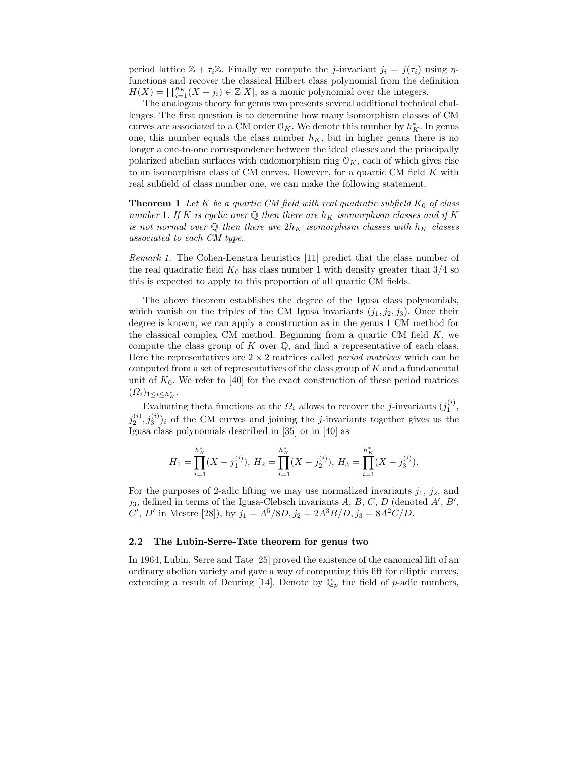period lattice  $\mathbb{Z} + \tau_i \mathbb{Z}$ . Finally we compute the *j*-invariant  $j_i = j(\tau_i)$  using  $\eta$ functions and recover the classical Hilbert class polynomial from the definition  $H(X) = \prod_{i=1}^{h_K} (X - j_i) \in \mathbb{Z}[X]$ , as a monic polynomial over the integers.

The analogous theory for genus two presents several additional technical challenges. The first question is to determine how many isomorphism classes of CM curves are associated to a CM order  $\mathcal{O}_K$ . We denote this number by  $h^*_K$ . In genus one, this number equals the class number  $h_K$ , but in higher genus there is no longer a one-to-one correspondence between the ideal classes and the principally polarized abelian surfaces with endomorphism ring  $\mathcal{O}_K$ , each of which gives rise to an isomorphism class of CM curves. However, for a quartic CM field  $K$  with real subfield of class number one, we can make the following statement.

**Theorem 1** Let K be a quartic CM field with real quadratic subfield  $K_0$  of class number 1. If K is cyclic over  $\mathbb Q$  then there are  $h_K$  isomorphism classes and if K is not normal over  $\mathbb Q$  then there are  $2h_K$  isomorphism classes with  $h_K$  classes associated to each CM type.

Remark 1. The Cohen-Lenstra heuristics [11] predict that the class number of the real quadratic field  $K_0$  has class number 1 with density greater than  $3/4$  so this is expected to apply to this proportion of all quartic CM fields.

The above theorem establishes the degree of the Igusa class polynomials, which vanish on the triples of the CM Igusa invariants  $(j_1, j_2, j_3)$ . Once their degree is known, we can apply a construction as in the genus 1 CM method for the classical complex CM method. Beginning from a quartic CM field  $K$ , we compute the class group of  $K$  over  $\mathbb{Q}$ , and find a representative of each class. Here the representatives are  $2 \times 2$  matrices called *period matrices* which can be computed from a set of representatives of the class group of  $K$  and a fundamental unit of  $K_0$ . We refer to [40] for the exact construction of these period matrices  $(\Omega_i)_{1\leq i\leq h_K^*}.$ 

Evaluating theta functions at the  $\Omega_i$  allows to recover the j-invariants  $(j_1^{(i)},$  $j_2^{(i)}, j_3^{(i)}$ )<sub>i</sub> of the CM curves and joining the *j*-invariants together gives us the Igusa class polynomials described in [35] or in [40] as

$$
H_1 = \prod_{i=1}^{h_K^*} (X - j_1^{(i)}), H_2 = \prod_{i=1}^{h_K^*} (X - j_2^{(i)}), H_3 = \prod_{i=1}^{h_K^*} (X - j_3^{(i)}).
$$

For the purposes of 2-adic lifting we may use normalized invariants  $j_1$ ,  $j_2$ , and  $j_3$ , defined in terms of the Igusa-Clebsch invariants  $A, B, C, D$  (denoted  $A', B',$ C', D' in Mestre [28]), by  $j_1 = A^5/8D$ ,  $j_2 = 2A^3B/D$ ,  $j_3 = 8A^2C/D$ .

#### 2.2 The Lubin-Serre-Tate theorem for genus two

In 1964, Lubin, Serre and Tate [25] proved the existence of the canonical lift of an ordinary abelian variety and gave a way of computing this lift for elliptic curves, extending a result of Deuring [14]. Denote by  $\mathbb{Q}_p$  the field of p-adic numbers,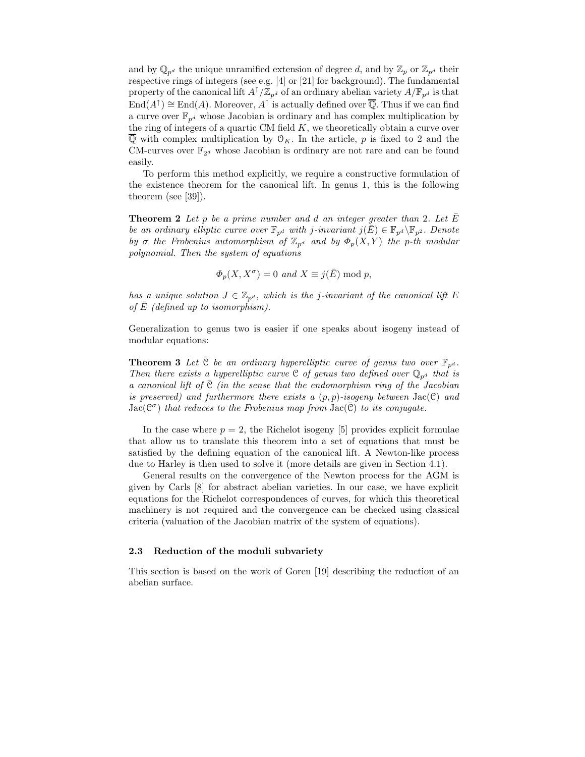and by  $\mathbb{Q}_{p^d}$  the unique unramified extension of degree d, and by  $\mathbb{Z}_p$  or  $\mathbb{Z}_{p^d}$  their respective rings of integers (see e.g. [4] or [21] for background). The fundamental property of the canonical lift  $A^{\dagger}/\mathbb{Z}_{p^d}$  of an ordinary abelian variety  $A/\mathbb{F}_{p^d}$  is that  $\text{End}(A^{\uparrow}) \cong \text{End}(A)$ . Moreover,  $A^{\uparrow}$  is actually defined over  $\overline{\mathbb{Q}}$ . Thus if we can find a curve over  $\mathbb{F}_{p^d}$  whose Jacobian is ordinary and has complex multiplication by the ring of integers of a quartic CM field  $K$ , we theoretically obtain a curve over  $\mathbb Q$  with complex multiplication by  $\mathcal O_K$ . In the article, p is fixed to 2 and the CM-curves over  $\mathbb{F}_{2^d}$  whose Jacobian is ordinary are not rare and can be found easily.

To perform this method explicitly, we require a constructive formulation of the existence theorem for the canonical lift. In genus 1, this is the following theorem (see [39]).

**Theorem 2** Let p be a prime number and d an integer greater than 2. Let E be an ordinary elliptic curve over  $\mathbb{F}_{p^d}$  with j-invariant  $j(\bar{E}) \in \mathbb{F}_{p^d} \backslash \mathbb{F}_{p^2}$ . Denote by  $\sigma$  the Frobenius automorphism of  $\mathbb{Z}_{p^d}$  and by  $\Phi_p(X, Y)$  the p-th modular polynomial. Then the system of equations

 $\Phi_p(X, X^{\sigma}) = 0$  and  $X \equiv j(E) \bmod p$ ,

has a unique solution  $J \in \mathbb{Z}_{n^d}$ , which is the j-invariant of the canonical lift E of  $E$  (defined up to isomorphism).

Generalization to genus two is easier if one speaks about isogeny instead of modular equations:

**Theorem 3** Let  $\overline{C}$  be an ordinary hyperelliptic curve of genus two over  $\mathbb{F}_{p^d}$ . Then there exists a hyperelliptic curve C of genus two defined over  $\mathbb{Q}_{p^d}$  that is a canonical lift of  $C$  (in the sense that the endomorphism ring of the Jacobian is preserved) and furthermore there exists a  $(p, p)$ -isogeny between Jac(C) and  $Jac(\mathcal{C}^{\sigma})$  that reduces to the Frobenius map from  $Jac(\bar{\mathcal{C}})$  to its conjugate.

In the case where  $p = 2$ , the Richelot isogeny [5] provides explicit formulae that allow us to translate this theorem into a set of equations that must be satisfied by the defining equation of the canonical lift. A Newton-like process due to Harley is then used to solve it (more details are given in Section 4.1).

General results on the convergence of the Newton process for the AGM is given by Carls [8] for abstract abelian varieties. In our case, we have explicit equations for the Richelot correspondences of curves, for which this theoretical machinery is not required and the convergence can be checked using classical criteria (valuation of the Jacobian matrix of the system of equations).

#### 2.3 Reduction of the moduli subvariety

This section is based on the work of Goren [19] describing the reduction of an abelian surface.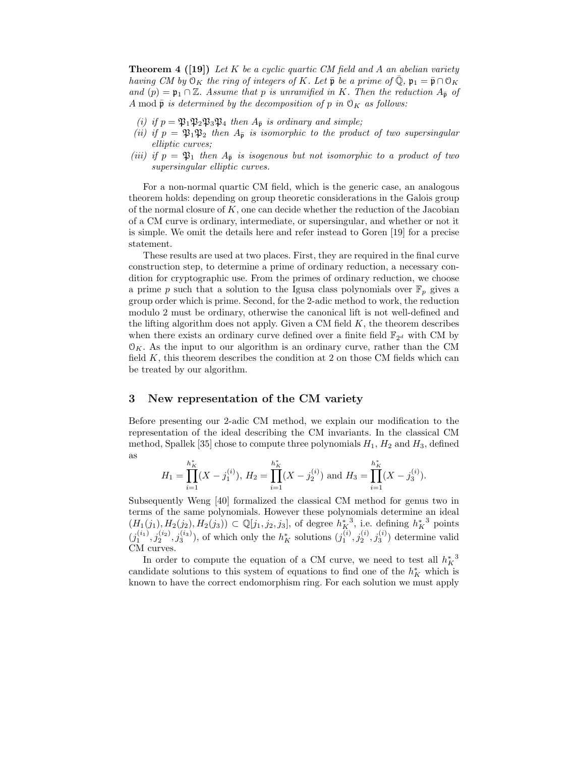**Theorem 4** ([19]) Let K be a cyclic quartic CM field and A an abelian variety having CM by  $\mathcal{O}_K$  the ring of integers of K. Let  $\bar{\mathfrak{p}}$  be a prime of  $\bar{\mathbb{Q}}$ ,  $\mathfrak{p}_1 = \bar{\mathfrak{p}} \cap \mathcal{O}_K$ and (p) =  $\mathfrak{p}_1 \cap \mathbb{Z}$ . Assume that p is unramified in K. Then the reduction  $A_{\bar{\mathfrak{p}}}$  of A mod  $\bar{\mathfrak{p}}$  is determined by the decomposition of p in  $\mathfrak{O}_K$  as follows:

- (i) if  $p = \mathfrak{P}_1 \mathfrak{P}_2 \mathfrak{P}_3 \mathfrak{P}_4$  then  $A_{\bar{\mathfrak{p}}}$  is ordinary and simple;
- (ii) if  $p = \mathfrak{P}_1 \mathfrak{P}_2$  then  $A_{\bar{p}}$  is isomorphic to the product of two supersingular elliptic curves;
- (iii) if  $p = \mathfrak{P}_1$  then  $A_{\bar{\mathfrak{p}}}$  is isogenous but not isomorphic to a product of two supersingular elliptic curves.

For a non-normal quartic CM field, which is the generic case, an analogous theorem holds: depending on group theoretic considerations in the Galois group of the normal closure of  $K$ , one can decide whether the reduction of the Jacobian of a CM curve is ordinary, intermediate, or supersingular, and whether or not it is simple. We omit the details here and refer instead to Goren [19] for a precise statement.

These results are used at two places. First, they are required in the final curve construction step, to determine a prime of ordinary reduction, a necessary condition for cryptographic use. From the primes of ordinary reduction, we choose a prime p such that a solution to the Igusa class polynomials over  $\mathbb{F}_p$  gives a group order which is prime. Second, for the 2-adic method to work, the reduction modulo 2 must be ordinary, otherwise the canonical lift is not well-defined and the lifting algorithm does not apply. Given a CM field  $K$ , the theorem describes when there exists an ordinary curve defined over a finite field  $\mathbb{F}_{2^d}$  with CM by  $\mathcal{O}_K$ . As the input to our algorithm is an ordinary curve, rather than the CM field  $K$ , this theorem describes the condition at 2 on those CM fields which can be treated by our algorithm.

### 3 New representation of the CM variety

Before presenting our 2-adic CM method, we explain our modification to the representation of the ideal describing the CM invariants. In the classical CM method, Spallek [35] chose to compute three polynomials  $H_1$ ,  $H_2$  and  $H_3$ , defined as

$$
H_1 = \prod_{i=1}^{h_K^*} (X - j_1^{(i)}), H_2 = \prod_{i=1}^{h_K^*} (X - j_2^{(i)}) \text{ and } H_3 = \prod_{i=1}^{h_K^*} (X - j_3^{(i)}).
$$

Subsequently Weng [40] formalized the classical CM method for genus two in terms of the same polynomials. However these polynomials determine an ideal  $(H_1(j_1), H_2(j_2), H_2(j_3)) \subset \mathbb{Q}[j_1, j_2, j_3]$ , of degree  $h_K^{*3}$ , i.e. defining  $h_K^{*3}$  points  $(j_1^{(i_1)}, j_2^{(i_2)}, j_3^{(i_3)})$ , of which only the  $h_K^*$  solutions  $(j_1^{(i)}, j_2^{(i)}, j_3^{(i)})$  determine valid CM curves.

In order to compute the equation of a CM curve, we need to test all  $h_K^*$ <sup>3</sup> candidate solutions to this system of equations to find one of the  $h_K^*$  which is known to have the correct endomorphism ring. For each solution we must apply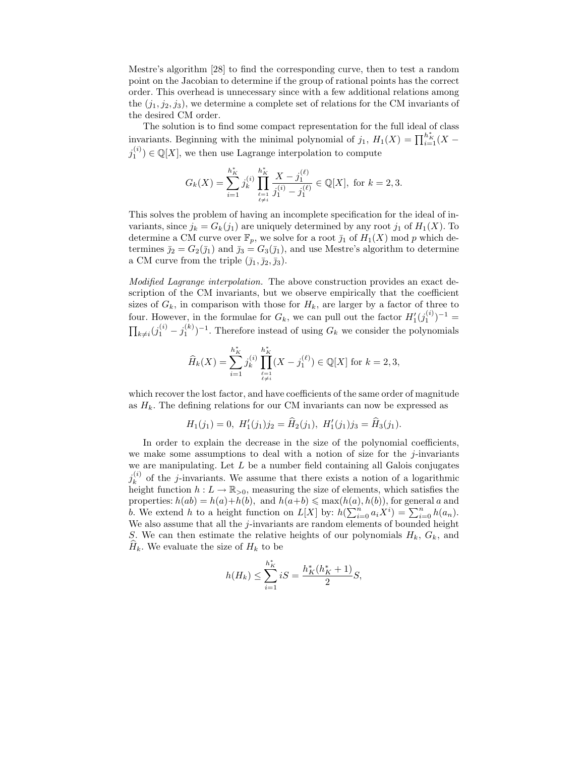Mestre's algorithm [28] to find the corresponding curve, then to test a random point on the Jacobian to determine if the group of rational points has the correct order. This overhead is unnecessary since with a few additional relations among the  $(j_1, j_2, j_3)$ , we determine a complete set of relations for the CM invariants of the desired CM order.

The solution is to find some compact representation for the full ideal of class invariants. Beginning with the minimal polynomial of  $j_1$ ,  $H_1(X) = \prod_{i=1}^{h_K^*} (X$  $j_1^{(i)}$   $\in \mathbb{Q}[X]$ , we then use Lagrange interpolation to compute

$$
G_k(X) = \sum_{i=1}^{h_K^*} j_k^{(i)} \prod_{\substack{\ell=1 \\ \ell \neq i}}^{h_K^*} \frac{X - j_1^{(\ell)}}{j_1^{(i)} - j_1^{(\ell)}} \in \mathbb{Q}[X], \text{ for } k = 2, 3.
$$

This solves the problem of having an incomplete specification for the ideal of invariants, since  $j_k = G_k(j_1)$  are uniquely determined by any root  $j_1$  of  $H_1(X)$ . To determine a CM curve over  $\mathbb{F}_p$ , we solve for a root  $\bar{j}_1$  of  $H_1(X)$  mod p which determines  $\bar{j}_2 = G_2(\bar{j}_1)$  and  $\bar{j}_3 = G_3(\bar{j}_1)$ , and use Mestre's algorithm to determine a CM curve from the triple  $(\bar{j}_1,\bar{j}_2,\bar{j}_3)$ .

Modified Lagrange interpolation. The above construction provides an exact description of the CM invariants, but we observe empirically that the coefficient sizes of  $G_k$ , in comparison with those for  $H_k$ , are larger by a factor of three to four. However, in the formulae for  $G_k$ , we can pull out the factor  $H'_1(j_1^{(i)})^{-1} =$  $\prod_{k\neq i} (j_1^{(i)}-j_1^{(k)})^{-1}$ . Therefore instead of using  $G_k$  we consider the polynomials

$$
\widehat{H}_k(X) = \sum_{i=1}^{h_K^*} j_k^{(i)} \prod_{\substack{\ell=1 \\ \ell \neq i}}^{h_K^*} (X - j_1^{(\ell)}) \in \mathbb{Q}[X] \text{ for } k = 2, 3,
$$

which recover the lost factor, and have coefficients of the same order of magnitude as  $H_k$ . The defining relations for our CM invariants can now be expressed as

$$
H_1(j_1) = 0, H'_1(j_1)j_2 = \widehat{H}_2(j_1), H'_1(j_1)j_3 = \widehat{H}_3(j_1).
$$

In order to explain the decrease in the size of the polynomial coefficients, we make some assumptions to deal with a notion of size for the  $j$ -invariants we are manipulating. Let  $L$  be a number field containing all Galois conjugates  $j_k^{(i)}$  of the *j*-invariants. We assume that there exists a notion of a logarithmic height function  $h: L \to \mathbb{R}_{>0}$ , measuring the size of elements, which satisfies the properties:  $h(ab) = h(a) + h(b)$ , and  $h(a+b) \le \max(h(a), h(b))$ , for general a and b. We extend h to a height function on  $L[X]$  by:  $h(\sum_{i=0}^{n} a_i X^i) = \sum_{i=0}^{n} h(a_n)$ . We also assume that all the  $j$ -invariants are random elements of bounded height S. We can then estimate the relative heights of our polynomials  $H_k$ ,  $G_k$ , and  $H_k$ . We evaluate the size of  $H_k$  to be

$$
h(H_k) \le \sum_{i=1}^{h_K^*} iS = \frac{h_K^*(h_K^* + 1)}{2}S,
$$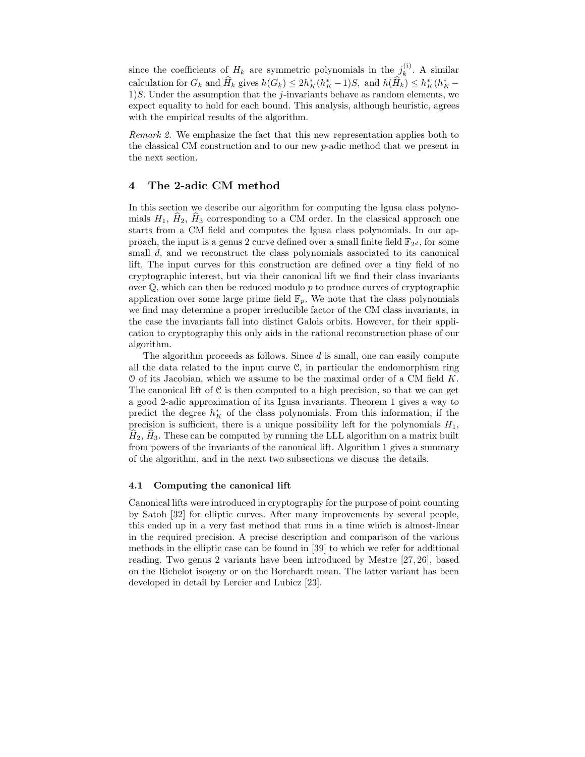since the coefficients of  $H_k$  are symmetric polynomials in the  $j_k^{(i)}$ . A similar calculation for  $G_k$  and  $\hat{H}_k$  gives  $h(G_k) \leq 2h_K^*(h_K^* - 1)S$ , and  $h(\hat{H}_k) \leq h_K^*(h_K^* - 1)$  $1)$ S. Under the assumption that the *j*-invariants behave as random elements, we expect equality to hold for each bound. This analysis, although heuristic, agrees with the empirical results of the algorithm.

Remark 2. We emphasize the fact that this new representation applies both to the classical CM construction and to our new p-adic method that we present in the next section.

### 4 The 2-adic CM method

In this section we describe our algorithm for computing the Igusa class polynomials  $H_1$ ,  $H_2$ ,  $H_3$  corresponding to a CM order. In the classical approach one starts from a CM field and computes the Igusa class polynomials. In our approach, the input is a genus 2 curve defined over a small finite field  $\mathbb{F}_{2^d}$ , for some small d, and we reconstruct the class polynomials associated to its canonical lift. The input curves for this construction are defined over a tiny field of no cryptographic interest, but via their canonical lift we find their class invariants over  $\mathbb{Q}$ , which can then be reduced modulo p to produce curves of cryptographic application over some large prime field  $\mathbb{F}_p$ . We note that the class polynomials we find may determine a proper irreducible factor of the CM class invariants, in the case the invariants fall into distinct Galois orbits. However, for their application to cryptography this only aids in the rational reconstruction phase of our algorithm.

The algorithm proceeds as follows. Since  $d$  is small, one can easily compute all the data related to the input curve  $\mathcal{C}$ , in particular the endomorphism ring  $\mathcal O$  of its Jacobian, which we assume to be the maximal order of a CM field  $K$ . The canonical lift of C is then computed to a high precision, so that we can get a good 2-adic approximation of its Igusa invariants. Theorem 1 gives a way to predict the degree  $h_K^*$  of the class polynomials. From this information, if the precision is sufficient, there is a unique possibility left for the polynomials  $H_1$ ,  $H_2$ ,  $H_3$ . These can be computed by running the LLL algorithm on a matrix built from powers of the invariants of the canonical lift. Algorithm 1 gives a summary of the algorithm, and in the next two subsections we discuss the details.

#### 4.1 Computing the canonical lift

Canonical lifts were introduced in cryptography for the purpose of point counting by Satoh [32] for elliptic curves. After many improvements by several people, this ended up in a very fast method that runs in a time which is almost-linear in the required precision. A precise description and comparison of the various methods in the elliptic case can be found in [39] to which we refer for additional reading. Two genus 2 variants have been introduced by Mestre [27, 26], based on the Richelot isogeny or on the Borchardt mean. The latter variant has been developed in detail by Lercier and Lubicz [23].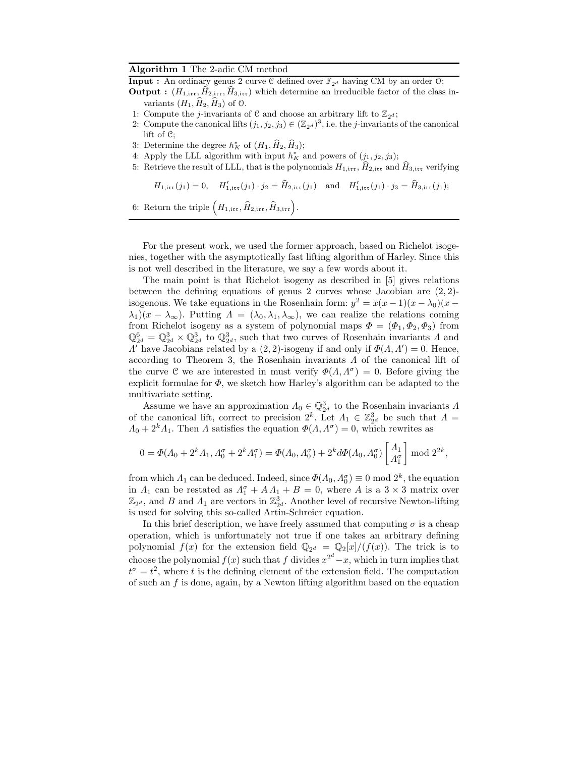#### Algorithm 1 The 2-adic CM method

**Input :** An ordinary genus 2 curve C defined over  $\mathbb{F}_{2^d}$  having CM by an order 0;

- **Output**:  $(H_{1,\text{irr}}, \hat{H}_{2,\text{irr}}, \hat{H}_{3,\text{irr}})$  which determine an irreducible factor of the class invariants  $(H_1, \hat{H}_2, \hat{H}_3)$  of 0.
- 1: Compute the *j*-invariants of C and choose an arbitrary lift to  $\mathbb{Z}_{2^d}$ ;
- 2: Compute the canonical lifts  $(j_1, j_2, j_3) \in (\mathbb{Z}_{2^d})^3$ , i.e. the *j*-invariants of the canonical lift of C;
- 3: Determine the degree  $h_K^*$  of  $(H_1, \hat{H}_2, \hat{H}_3);$
- 4: Apply the LLL algorithm with input  $h_K^*$  and powers of  $(j_1, j_2, j_3)$ ;
- 5: Retrieve the result of LLL, that is the polynomials  $H_{1,irr}$ ,  $\hat{H}_{2,irr}$  and  $\hat{H}_{3,irr}$  verifying

 $H_{1,\text{irr}}(j_1) = 0, \quad H'_{1,\text{irr}}(j_1) \cdot j_2 = \widehat{H}_{2,\text{irr}}(j_1) \quad \text{and} \quad H'_{1,\text{irr}}(j_1) \cdot j_3 = \widehat{H}_{3,\text{irr}}(j_1);$ 

6: Return the triple  $\left( H_{1,\mathrm{irr}}, \widehat{H}_{2,\mathrm{irr}}, \widehat{H}_{3,\mathrm{irr}} \right)$ .

For the present work, we used the former approach, based on Richelot isogenies, together with the asymptotically fast lifting algorithm of Harley. Since this is not well described in the literature, we say a few words about it.

The main point is that Richelot isogeny as described in [5] gives relations between the defining equations of genus 2 curves whose Jacobian are  $(2, 2)$ isogenous. We take equations in the Rosenhain form:  $y^2 = x(x-1)(x-\lambda_0)(x \lambda_1(x - \lambda_\infty)$ . Putting  $\Lambda = (\lambda_0, \lambda_1, \lambda_\infty)$ , we can realize the relations coming from Richelot isogeny as a system of polynomial maps  $\Phi = (\Phi_1, \Phi_2, \Phi_3)$  from  $\mathbb{Q}_{2^d}^6 = \mathbb{Q}_{2^d}^3 \times \mathbb{Q}_{2^d}^3$  to  $\mathbb{Q}_{2^d}^3$ , such that two curves of Rosenhain invariants  $\Lambda$  and  $\Lambda^r$  have Jacobians related by a  $(2, 2)$ -isogeny if and only if  $\Phi(\Lambda, \Lambda') = 0$ . Hence, according to Theorem 3, the Rosenhain invariants  $\Lambda$  of the canonical lift of the curve C we are interested in must verify  $\Phi(\Lambda, \Lambda^{\sigma}) = 0$ . Before giving the explicit formulae for  $\Phi$ , we sketch how Harley's algorithm can be adapted to the multivariate setting.

Assume we have an approximation  $\Lambda_0 \in \mathbb{Q}_{2^d}^3$  to the Rosenhain invariants  $\Lambda$ of the canonical lift, correct to precision  $2^k$ . Let  $\Lambda_1 \in \mathbb{Z}_{2^d}^3$  be such that  $\Lambda =$  $\Lambda_0 + 2^k \Lambda_1$ . Then  $\Lambda$  satisfies the equation  $\Phi(\Lambda, \Lambda^{\sigma}) = 0$ , which rewrites as

$$
0 = \Phi(A_0 + 2^k A_1, A_0^{\sigma} + 2^k A_1^{\sigma}) = \Phi(A_0, A_0^{\sigma}) + 2^k d\Phi(A_0, A_0^{\sigma}) \begin{bmatrix} A_1 \\ A_1^{\sigma} \end{bmatrix} \bmod 2^{2k},
$$

from which  $\Lambda_1$  can be deduced. Indeed, since  $\Phi(\Lambda_0, \Lambda_0^{\sigma}) \equiv 0 \mod 2^{k}$ , the equation in  $\Lambda_1$  can be restated as  $\Lambda_1^{\sigma} + A \Lambda_1 + B = 0$ , where A is a  $3 \times 3$  matrix over  $\mathbb{Z}_{2^d}$ , and B and  $\Lambda_1$  are vectors in  $\mathbb{Z}_{2^d}^3$ . Another level of recursive Newton-lifting is used for solving this so-called Artin-Schreier equation.

In this brief description, we have freely assumed that computing  $\sigma$  is a cheap operation, which is unfortunately not true if one takes an arbitrary defining polynomial  $f(x)$  for the extension field  $\mathbb{Q}_{2^d} = \mathbb{Q}_2[x]/(f(x))$ . The trick is to choose the polynomial  $f(x)$  such that f divides  $x^{2^d}-x$ , which in turn implies that  $t^{\sigma} = t^2$ , where t is the defining element of the extension field. The computation of such an f is done, again, by a Newton lifting algorithm based on the equation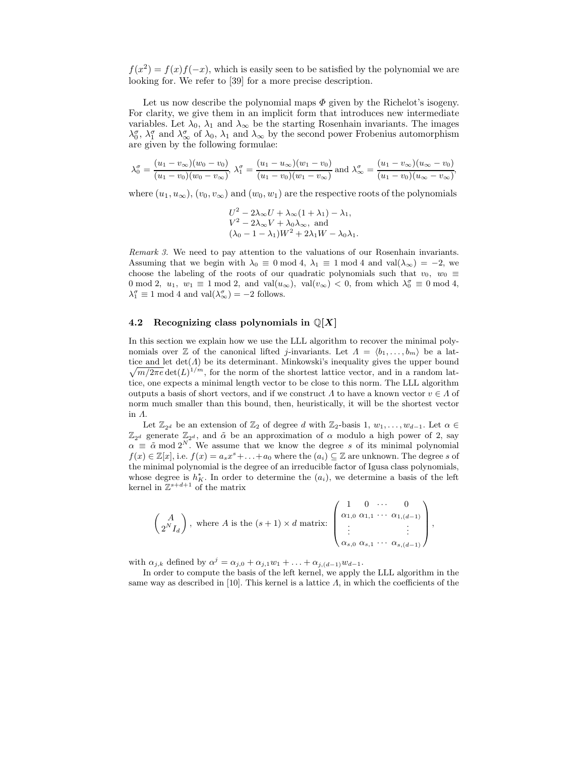$f(x^2) = f(x)f(-x)$ , which is easily seen to be satisfied by the polynomial we are looking for. We refer to [39] for a more precise description.

Let us now describe the polynomial maps  $\Phi$  given by the Richelot's isogeny. For clarity, we give them in an implicit form that introduces new intermediate variables. Let  $\lambda_0$ ,  $\lambda_1$  and  $\lambda_\infty$  be the starting Rosenhain invariants. The images  $\lambda_0^{\sigma}$ ,  $\lambda_1^{\sigma}$  and  $\lambda_{\infty}^{\sigma}$  of  $\lambda_0$ ,  $\lambda_1$  and  $\lambda_{\infty}$  by the second power Frobenius automorphism are given by the following formulae:

$$
\lambda_0^{\sigma} = \frac{(u_1 - v_{\infty})(w_0 - v_0)}{(u_1 - v_0)(w_0 - v_{\infty})}, \lambda_1^{\sigma} = \frac{(u_1 - u_{\infty})(w_1 - v_0)}{(u_1 - v_0)(w_1 - v_{\infty})} \text{ and } \lambda_{\infty}^{\sigma} = \frac{(u_1 - v_{\infty})(u_{\infty} - v_0)}{(u_1 - v_0)(u_{\infty} - v_{\infty})},
$$

where  $(u_1, u_\infty)$ ,  $(v_0, v_\infty)$  and  $(w_0, w_1)$  are the respective roots of the polynomials

$$
U^2 - 2\lambda_{\infty}U + \lambda_{\infty}(1 + \lambda_1) - \lambda_1,
$$
  
\n
$$
V^2 - 2\lambda_{\infty}V + \lambda_0\lambda_{\infty}, \text{ and}
$$
  
\n
$$
(\lambda_0 - 1 - \lambda_1)W^2 + 2\lambda_1W - \lambda_0\lambda_1.
$$

Remark 3. We need to pay attention to the valuations of our Rosenhain invariants. Assuming that we begin with  $\lambda_0 \equiv 0 \mod 4$ ,  $\lambda_1 \equiv 1 \mod 4$  and  $val(\lambda_{\infty}) = -2$ , we choose the labeling of the roots of our quadratic polynomials such that  $v_0$ ,  $w_0 \equiv$ 0 mod 2,  $u_1$ ,  $w_1 \equiv 1 \mod 2$ , and  $val(u_\infty)$ ,  $val(v_\infty) < 0$ , from which  $\lambda_0^{\sigma} \equiv 0 \mod 4$ ,  $\lambda_1^{\sigma} \equiv 1 \mod 4$  and  $\operatorname{val}(\lambda_{\infty}^{\sigma}) = -2$  follows.

#### 4.2 Recognizing class polynomials in  $\mathbb{O}[X]$

In this section we explain how we use the LLL algorithm to recover the minimal polynomials over Z of the canonical lifted j-invariants. Let  $\Lambda = \langle b_1, \ldots, b_m \rangle$  be a lattice and let  $\det(A)$  be its determinant. Minkowski's inequality gives the upper bound  $\sqrt{m/2\pi e} \det(L)^{1/m}$ , for the norm of the shortest lattice vector, and in a random lattice, one expects a minimal length vector to be close to this norm. The LLL algorithm outputs a basis of short vectors, and if we construct  $\Lambda$  to have a known vector  $v \in \Lambda$  of norm much smaller than this bound, then, heuristically, it will be the shortest vector in Λ.

Let  $\mathbb{Z}_{2^d}$  be an extension of  $\mathbb{Z}_2$  of degree d with  $\mathbb{Z}_2$ -basis 1,  $w_1, \ldots, w_{d-1}$ . Let  $\alpha \in$  $\mathbb{Z}_{2^d}$  generate  $\mathbb{Z}_{2^d}$ , and  $\tilde{\alpha}$  be an approximation of  $\alpha$  modulo a high power of 2, say  $\alpha \equiv \tilde{\alpha} \mod 2^N$ . We assume that we know the degree s of its minimal polynomial  $f(x) \in \mathbb{Z}[x]$ , i.e.  $f(x) = a_s x^s + \ldots + a_0$  where the  $(a_i) \subseteq \mathbb{Z}$  are unknown. The degree s of the minimal polynomial is the degree of an irreducible factor of Igusa class polynomials, whose degree is  $h_K^*$ . In order to determine the  $(a_i)$ , we determine a basis of the left kernel in  $\mathbb{Z}^{s+d+1}$  of the matrix

| $\begin{pmatrix} A \\ 2^N I_d \end{pmatrix}$ , where A is the $(s + 1) \times d$ matrix: $\begin{pmatrix} 1 & 0 & \cdots & 0 \\ \alpha_{1,0} & \alpha_{1,1} & \cdots & \alpha_{1,(d-1)} \\ \vdots & & & \vdots \\ \alpha_{s,0} & \alpha_{s,1} & \cdots & \alpha_{s,(d-1)} \end{pmatrix}$ , |  |  |  |
|--------------------------------------------------------------------------------------------------------------------------------------------------------------------------------------------------------------------------------------------------------------------------------------------|--|--|--|
|                                                                                                                                                                                                                                                                                            |  |  |  |
|                                                                                                                                                                                                                                                                                            |  |  |  |

with  $\alpha_{j,k}$  defined by  $\alpha^j = \alpha_{j,0} + \alpha_{j,1}w_1 + \ldots + \alpha_{j,(d-1)}w_{d-1}$ .

In order to compute the basis of the left kernel, we apply the LLL algorithm in the same way as described in [10]. This kernel is a lattice  $\Lambda$ , in which the coefficients of the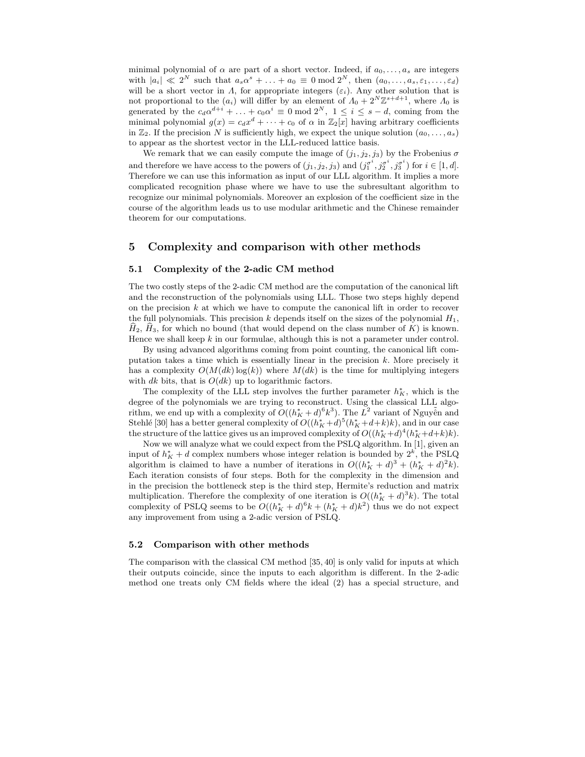minimal polynomial of  $\alpha$  are part of a short vector. Indeed, if  $a_0, \ldots, a_s$  are integers with  $|a_i| \ll 2^N$  such that  $a_s \alpha^s + \ldots + a_0 \equiv 0 \mod 2^N$ , then  $(a_0, \ldots, a_s, \varepsilon_1, \ldots, \varepsilon_d)$ will be a short vector in  $\Lambda$ , for appropriate integers  $(\varepsilon_i)$ . Any other solution that is not proportional to the  $(a_i)$  will differ by an element of  $\Lambda_0 + 2^N \mathbb{Z}^{s+d+1}$ , where  $\Lambda_0$  is generated by the  $c_d\alpha^{d+i} + \ldots + c_0\alpha^i \equiv 0 \mod 2^N$ ,  $1 \leq i \leq s - d$ , coming from the minimal polynomial  $g(x) = c_d x^d + \cdots + c_0$  of  $\alpha$  in  $\mathbb{Z}_2[x]$  having arbitrary coefficients in  $\mathbb{Z}_2$ . If the precision N is sufficiently high, we expect the unique solution  $(a_0, \ldots, a_s)$ to appear as the shortest vector in the LLL-reduced lattice basis.

We remark that we can easily compute the image of  $(j_1, j_2, j_3)$  by the Frobenius  $\sigma$ and therefore we have access to the powers of  $(j_1, j_2, j_3)$  and  $(j_1^{q_i}, j_2^{q_i}, j_3^{q_i})$  for  $i \in [1, d]$ . Therefore we can use this information as input of our LLL algorithm. It implies a more complicated recognition phase where we have to use the subresultant algorithm to recognize our minimal polynomials. Moreover an explosion of the coefficient size in the course of the algorithm leads us to use modular arithmetic and the Chinese remainder theorem for our computations.

### 5 Complexity and comparison with other methods

#### 5.1 Complexity of the 2-adic CM method

The two costly steps of the 2-adic CM method are the computation of the canonical lift and the reconstruction of the polynomials using LLL. Those two steps highly depend on the precision  $k$  at which we have to compute the canonical lift in order to recover the full polynomials. This precision k depends itself on the sizes of the polynomial  $H_1$ ,  $\hat{H}_2$ ,  $\hat{H}_3$ , for which no bound (that would depend on the class number of K) is known. Hence we shall keep  $k$  in our formulae, although this is not a parameter under control.

By using advanced algorithms coming from point counting, the canonical lift computation takes a time which is essentially linear in the precision k. More precisely it has a complexity  $O(M(dk) \log(k))$  where  $M(dk)$  is the time for multiplying integers with dk bits, that is  $O(dk)$  up to logarithmic factors.

The complexity of the LLL step involves the further parameter  $h_K^*$ , which is the degree of the polynomials we are trying to reconstruct. Using the classical LLL algorithm, we end up with a complexity of  $O((h_K^* + d)^6 k^3)$ . The  $L^2$  variant of Nguyễn and Stehlé [30] has a better general complexity of  $O((h_K^* + d)^5(h_K^* + d + k)k)$ , and in our case the structure of the lattice gives us an improved complexity of  $O((h_K^*+d)^4(h_K^*+d+k)k)$ .

Now we will analyze what we could expect from the PSLQ algorithm. In [1], given an input of  $h_K^* + d$  complex numbers whose integer relation is bounded by  $2^k$ , the PSLQ algorithm is claimed to have a number of iterations in  $O((h_K^* + d)^3 + (h_K^* + d)^2 k)$ . Each iteration consists of four steps. Both for the complexity in the dimension and in the precision the bottleneck step is the third step, Hermite's reduction and matrix multiplication. Therefore the complexity of one iteration is  $O((h_K^* + d)^3 k)$ . The total complexity of PSLQ seems to be  $O((h_K^* + d)^6 k + (h_K^* + d)k^2)$  thus we do not expect any improvement from using a 2-adic version of PSLQ.

#### 5.2 Comparison with other methods

The comparison with the classical CM method [35, 40] is only valid for inputs at which their outputs coincide, since the inputs to each algorithm is different. In the 2-adic method one treats only CM fields where the ideal (2) has a special structure, and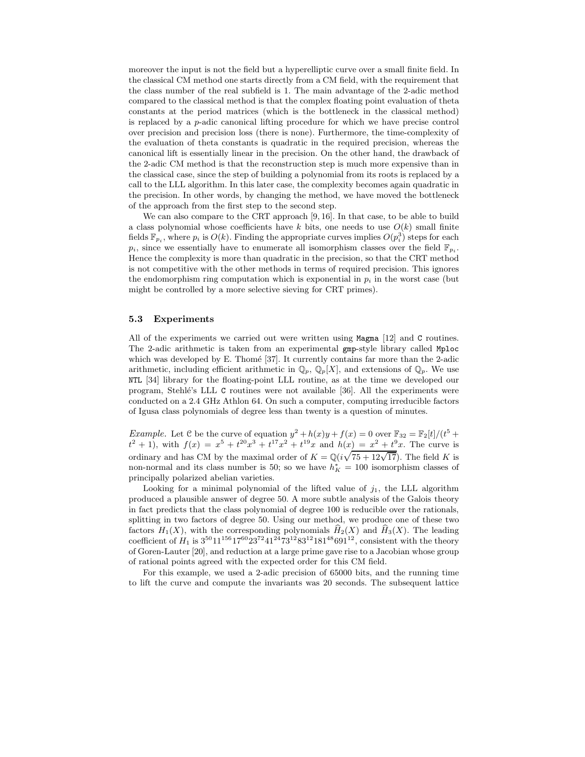moreover the input is not the field but a hyperelliptic curve over a small finite field. In the classical CM method one starts directly from a CM field, with the requirement that the class number of the real subfield is 1. The main advantage of the 2-adic method compared to the classical method is that the complex floating point evaluation of theta constants at the period matrices (which is the bottleneck in the classical method) is replaced by a p-adic canonical lifting procedure for which we have precise control over precision and precision loss (there is none). Furthermore, the time-complexity of the evaluation of theta constants is quadratic in the required precision, whereas the canonical lift is essentially linear in the precision. On the other hand, the drawback of the 2-adic CM method is that the reconstruction step is much more expensive than in the classical case, since the step of building a polynomial from its roots is replaced by a call to the LLL algorithm. In this later case, the complexity becomes again quadratic in the precision. In other words, by changing the method, we have moved the bottleneck of the approach from the first step to the second step.

We can also compare to the CRT approach [9, 16]. In that case, to be able to build a class polynomial whose coefficients have k bits, one needs to use  $O(k)$  small finite fields  $\mathbb{F}_{p_i}$ , where  $p_i$  is  $O(k)$ . Finding the appropriate curves implies  $O(p_i^3)$  steps for each  $p_i$ , since we essentially have to enumerate all isomorphism classes over the field  $\mathbb{F}_{p_i}$ . Hence the complexity is more than quadratic in the precision, so that the CRT method is not competitive with the other methods in terms of required precision. This ignores the endomorphism ring computation which is exponential in  $p_i$  in the worst case (but might be controlled by a more selective sieving for CRT primes).

#### 5.3 Experiments

All of the experiments we carried out were written using Magma [12] and C routines. The 2-adic arithmetic is taken from an experimental gmp-style library called Mploc which was developed by E. Thomé  $[37]$ . It currently contains far more than the 2-adic arithmetic, including efficient arithmetic in  $\mathbb{Q}_p$ ,  $\mathbb{Q}_p[X]$ , and extensions of  $\mathbb{Q}_p$ . We use NTL [34] library for the floating-point LLL routine, as at the time we developed our program, Stehl´e's LLL C routines were not available [36]. All the experiments were conducted on a 2.4 GHz Athlon 64. On such a computer, computing irreducible factors of Igusa class polynomials of degree less than twenty is a question of minutes.

*Example.* Let C be the curve of equation  $y^2 + h(x)y + f(x) = 0$  over  $\mathbb{F}_{32} = \mathbb{F}_2[t]/(t^5 +$  $t^2 + 1$ , with  $f(x) = x^5 + t^{20}x^3 + t^{17}x^2 + t^{19}x$  and  $h(x) = x^2 + t^9x$ . The curve is ordinary and has CM by the maximal order of  $K = \mathbb{Q}(i\sqrt{75 + 12\sqrt{17}})$ . The field K is non-normal and its class number is 50; so we have  $h_K^* = 100$  isomorphism classes of principally polarized abelian varieties.

Looking for a minimal polynomial of the lifted value of  $j_1$ , the LLL algorithm produced a plausible answer of degree 50. A more subtle analysis of the Galois theory in fact predicts that the class polynomial of degree 100 is reducible over the rationals, splitting in two factors of degree 50. Using our method, we produce one of these two factors  $H_1(X)$ , with the corresponding polynomials  $H_2(X)$  and  $H_3(X)$ . The leading coefficient of  $H_1$  is  $3^{50}11^{156}17^{60}23^{72}41^{24}73^{12}83^{12}181^{48}691^{12}$ , consistent with the theory of Goren-Lauter [20], and reduction at a large prime gave rise to a Jacobian whose group of rational points agreed with the expected order for this CM field.

For this example, we used a 2-adic precision of 65000 bits, and the running time to lift the curve and compute the invariants was 20 seconds. The subsequent lattice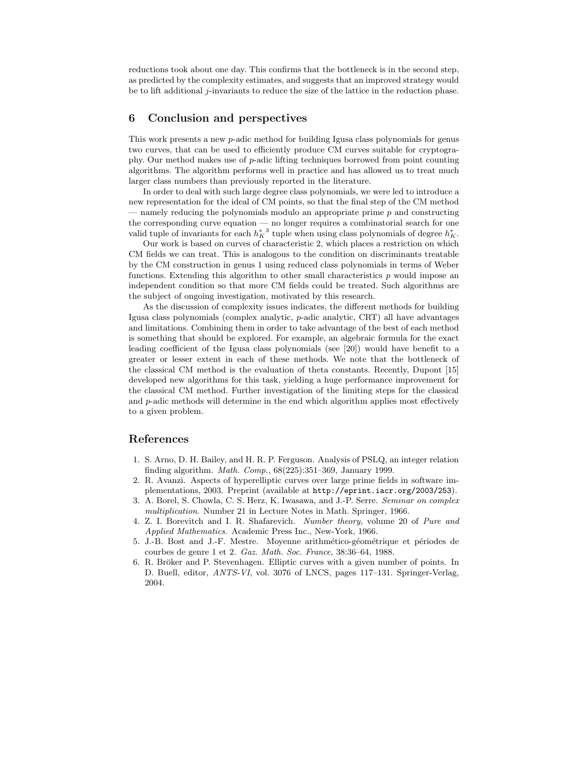reductions took about one day. This confirms that the bottleneck is in the second step, as predicted by the complexity estimates, and suggests that an improved strategy would be to lift additional j-invariants to reduce the size of the lattice in the reduction phase.

### 6 Conclusion and perspectives

This work presents a new p-adic method for building Igusa class polynomials for genus two curves, that can be used to efficiently produce CM curves suitable for cryptography. Our method makes use of p-adic lifting techniques borrowed from point counting algorithms. The algorithm performs well in practice and has allowed us to treat much larger class numbers than previously reported in the literature.

In order to deal with such large degree class polynomials, we were led to introduce a new representation for the ideal of CM points, so that the final step of the CM method — namely reducing the polynomials modulo an appropriate prime p and constructing the corresponding curve equation — no longer requires a combinatorial search for one valid tuple of invariants for each  $h_K^*$ <sup>3</sup> tuple when using class polynomials of degree  $h_K^*$ .

Our work is based on curves of characteristic 2, which places a restriction on which CM fields we can treat. This is analogous to the condition on discriminants treatable by the CM construction in genus 1 using reduced class polynomials in terms of Weber functions. Extending this algorithm to other small characteristics  $p$  would impose an independent condition so that more CM fields could be treated. Such algorithms are the subject of ongoing investigation, motivated by this research.

As the discussion of complexity issues indicates, the different methods for building Igusa class polynomials (complex analytic, p-adic analytic, CRT) all have advantages and limitations. Combining them in order to take advantage of the best of each method is something that should be explored. For example, an algebraic formula for the exact leading coefficient of the Igusa class polynomials (see [20]) would have benefit to a greater or lesser extent in each of these methods. We note that the bottleneck of the classical CM method is the evaluation of theta constants. Recently, Dupont [15] developed new algorithms for this task, yielding a huge performance improvement for the classical CM method. Further investigation of the limiting steps for the classical and p-adic methods will determine in the end which algorithm applies most effectively to a given problem.

### References

- 1. S. Arno, D. H. Bailey, and H. R. P. Ferguson. Analysis of PSLQ, an integer relation finding algorithm. Math. Comp., 68(225):351–369, January 1999.
- 2. R. Avanzi. Aspects of hyperelliptic curves over large prime fields in software implementations, 2003. Preprint (available at http://eprint.iacr.org/2003/253).
- 3. A. Borel, S. Chowla, C. S. Herz, K. Iwasawa, and J.-P. Serre. Seminar on complex multiplication. Number 21 in Lecture Notes in Math. Springer, 1966.
- 4. Z. I. Borevitch and I. R. Shafarevich. Number theory, volume 20 of Pure and Applied Mathematics. Academic Press Inc., New-York, 1966.
- 5. J.-B. Bost and J.-F. Mestre. Moyenne arithmético-géométrique et périodes de courbes de genre 1 et 2. Gaz. Math. Soc. France, 38:36–64, 1988.
- 6. R. Bröker and P. Stevenhagen. Elliptic curves with a given number of points. In D. Buell, editor, ANTS-VI, vol. 3076 of LNCS, pages 117–131. Springer-Verlag, 2004.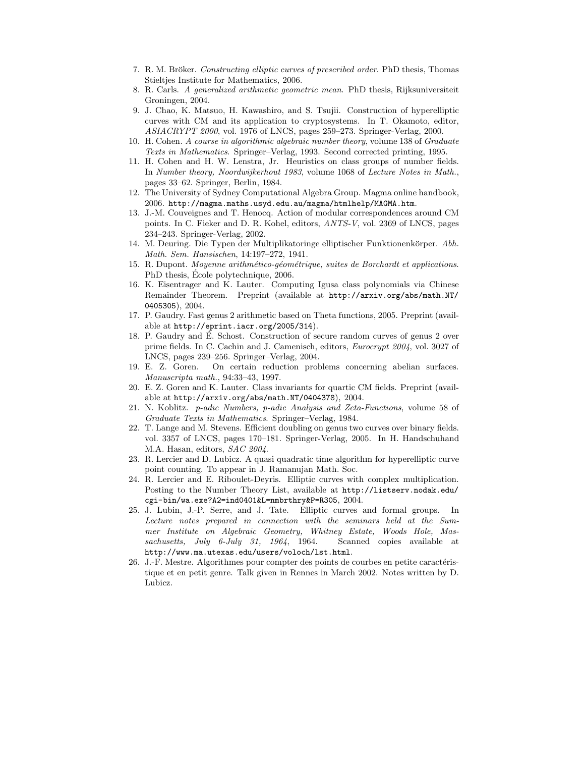- 7. R. M. Bröker. Constructing elliptic curves of prescribed order. PhD thesis, Thomas Stieltjes Institute for Mathematics, 2006.
- 8. R. Carls. A generalized arithmetic geometric mean. PhD thesis, Rijksuniversiteit Groningen, 2004.
- 9. J. Chao, K. Matsuo, H. Kawashiro, and S. Tsujii. Construction of hyperelliptic curves with CM and its application to cryptosystems. In T. Okamoto, editor, ASIACRYPT 2000, vol. 1976 of LNCS, pages 259–273. Springer-Verlag, 2000.
- 10. H. Cohen. A course in algorithmic algebraic number theory, volume 138 of Graduate Texts in Mathematics. Springer–Verlag, 1993. Second corrected printing, 1995.
- 11. H. Cohen and H. W. Lenstra, Jr. Heuristics on class groups of number fields. In Number theory, Noordwijkerhout 1983, volume 1068 of Lecture Notes in Math., pages 33–62. Springer, Berlin, 1984.
- 12. The University of Sydney Computational Algebra Group. Magma online handbook, 2006. http://magma.maths.usyd.edu.au/magma/htmlhelp/MAGMA.htm.
- 13. J.-M. Couveignes and T. Henocq. Action of modular correspondences around CM points. In C. Fieker and D. R. Kohel, editors, ANTS-V, vol. 2369 of LNCS, pages 234–243. Springer-Verlag, 2002.
- 14. M. Deuring. Die Typen der Multiplikatoringe elliptischer Funktionenkörper. Abh. Math. Sem. Hansischen, 14:197–272, 1941.
- 15. R. Dupont. Moyenne arithmético-géométrique, suites de Borchardt et applications. PhD thesis, Ecole polytechnique, 2006.
- 16. K. Eisentrager and K. Lauter. Computing Igusa class polynomials via Chinese Remainder Theorem. Preprint (available at http://arxiv.org/abs/math.NT/ 0405305), 2004.
- 17. P. Gaudry. Fast genus 2 arithmetic based on Theta functions, 2005. Preprint (available at http://eprint.iacr.org/2005/314).
- 18. P. Gaudry and É. Schost. Construction of secure random curves of genus 2 over prime fields. In C. Cachin and J. Camenisch, editors, Eurocrypt 2004, vol. 3027 of LNCS, pages 239–256. Springer–Verlag, 2004.
- 19. E. Z. Goren. On certain reduction problems concerning abelian surfaces. Manuscripta math., 94:33–43, 1997.
- 20. E. Z. Goren and K. Lauter. Class invariants for quartic CM fields. Preprint (available at http://arxiv.org/abs/math.NT/0404378), 2004.
- 21. N. Koblitz. p-adic Numbers, p-adic Analysis and Zeta-Functions, volume 58 of Graduate Texts in Mathematics. Springer–Verlag, 1984.
- 22. T. Lange and M. Stevens. Efficient doubling on genus two curves over binary fields. vol. 3357 of LNCS, pages 170–181. Springer-Verlag, 2005. In H. Handschuhand M.A. Hasan, editors, SAC 2004.
- 23. R. Lercier and D. Lubicz. A quasi quadratic time algorithm for hyperelliptic curve point counting. To appear in J. Ramanujan Math. Soc.
- 24. R. Lercier and E. Riboulet-Deyris. Elliptic curves with complex multiplication. Posting to the Number Theory List, available at http://listserv.nodak.edu/ cgi-bin/wa.exe?A2=ind0401&L=nmbrthry&P=R305, 2004.
- 25. J. Lubin, J.-P. Serre, and J. Tate. Elliptic curves and formal groups. In Lecture notes prepared in connection with the seminars held at the Summer Institute on Algebraic Geometry, Whitney Estate, Woods Hole, Massachusetts, July 6-July 31, 1964, 1964. Scanned copies available at http://www.ma.utexas.edu/users/voloch/lst.html.
- 26. J.-F. Mestre. Algorithmes pour compter des points de courbes en petite caractéristique et en petit genre. Talk given in Rennes in March 2002. Notes written by D. Lubicz.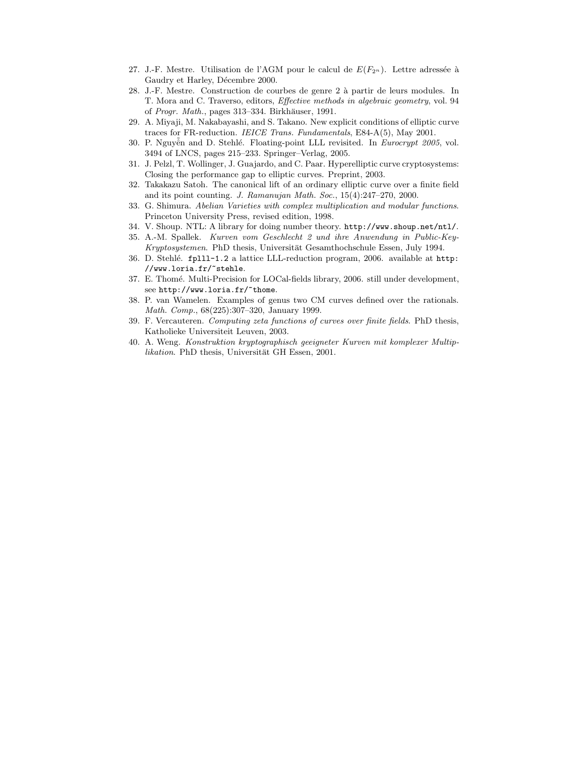- 27. J.-F. Mestre. Utilisation de l'AGM pour le calcul de  $E(F_{2^n})$ . Lettre adressée à Gaudry et Harley, Décembre 2000.
- 28. J.-F. Mestre. Construction de courbes de genre 2 à partir de leurs modules. In T. Mora and C. Traverso, editors, Effective methods in algebraic geometry, vol. 94 of Progr. Math., pages 313–334. Birkhäuser, 1991.
- 29. A. Miyaji, M. Nakabayashi, and S. Takano. New explicit conditions of elliptic curve traces for FR-reduction. IEICE Trans. Fundamentals, E84-A(5), May 2001.
- 30. P. Nguyễn and D. Stehlé. Floating-point LLL revisited. In Eurocrypt 2005, vol. 3494 of LNCS, pages 215–233. Springer–Verlag, 2005.
- 31. J. Pelzl, T. Wollinger, J. Guajardo, and C. Paar. Hyperelliptic curve cryptosystems: Closing the performance gap to elliptic curves. Preprint, 2003.
- 32. Takakazu Satoh. The canonical lift of an ordinary elliptic curve over a finite field and its point counting. J. Ramanujan Math. Soc., 15(4):247–270, 2000.
- 33. G. Shimura. Abelian Varieties with complex multiplication and modular functions. Princeton University Press, revised edition, 1998.
- 34. V. Shoup. NTL: A library for doing number theory. http://www.shoup.net/ntl/.
- 35. A.-M. Spallek. Kurven vom Geschlecht 2 und ihre Anwendung in Public-Key-Kryptosystemen. PhD thesis, Universität Gesamthochschule Essen, July 1994.
- 36. D. Stehl´e. fplll-1.2 a lattice LLL-reduction program, 2006. available at http: //www.loria.fr/~stehle.
- 37. E. Thomé. Multi-Precision for LOCal-fields library, 2006. still under development, see http://www.loria.fr/~thome.
- 38. P. van Wamelen. Examples of genus two CM curves defined over the rationals. Math. Comp., 68(225):307–320, January 1999.
- 39. F. Vercauteren. Computing zeta functions of curves over finite fields. PhD thesis, Katholieke Universiteit Leuven, 2003.
- 40. A. Weng. Konstruktion kryptographisch geeigneter Kurven mit komplexer Multiplikation. PhD thesis, Universität GH Essen, 2001.